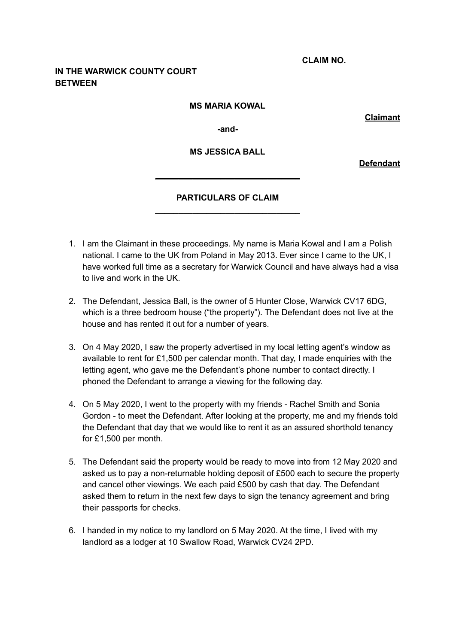**CLAIM NO.**

# **IN THE WARWICK COUNTY COURT BETWEEN**

#### **MS MARIA KOWAL**

**Claimant**

**-and-**

#### **MS JESSICA BALL**

**Defendant**

# **PARTICULARS OF CLAIM \_\_\_\_\_\_\_\_\_\_\_\_\_\_\_\_\_\_\_\_\_\_\_\_\_\_\_\_\_\_\_**

**\_\_\_\_\_\_\_\_\_\_\_\_\_\_\_\_\_\_\_\_\_\_\_\_\_\_\_\_\_\_\_**

- 1. I am the Claimant in these proceedings. My name is Maria Kowal and I am a Polish national. I came to the UK from Poland in May 2013. Ever since I came to the UK, I have worked full time as a secretary for Warwick Council and have always had a visa to live and work in the UK.
- 2. The Defendant, Jessica Ball, is the owner of 5 Hunter Close, Warwick CV17 6DG, which is a three bedroom house ("the property"). The Defendant does not live at the house and has rented it out for a number of years.
- 3. On 4 May 2020, I saw the property advertised in my local letting agent's window as available to rent for £1,500 per calendar month. That day, I made enquiries with the letting agent, who gave me the Defendant's phone number to contact directly. I phoned the Defendant to arrange a viewing for the following day.
- 4. On 5 May 2020, I went to the property with my friends Rachel Smith and Sonia Gordon - to meet the Defendant. After looking at the property, me and my friends told the Defendant that day that we would like to rent it as an assured shorthold tenancy for £1,500 per month.
- 5. The Defendant said the property would be ready to move into from 12 May 2020 and asked us to pay a non-returnable holding deposit of £500 each to secure the property and cancel other viewings. We each paid £500 by cash that day. The Defendant asked them to return in the next few days to sign the tenancy agreement and bring their passports for checks.
- 6. I handed in my notice to my landlord on 5 May 2020. At the time, I lived with my landlord as a lodger at 10 Swallow Road, Warwick CV24 2PD.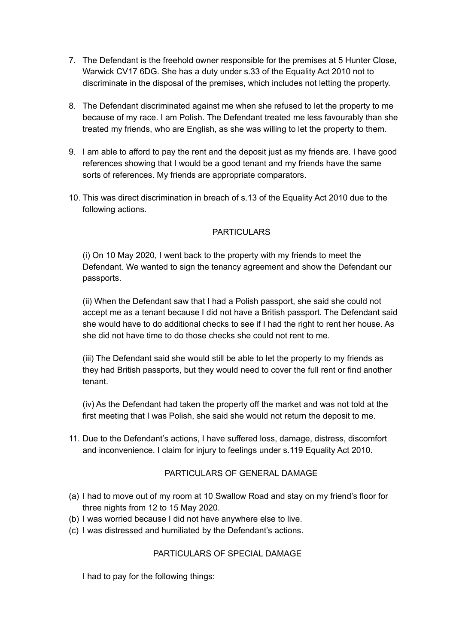- 7. The Defendant is the freehold owner responsible for the premises at 5 Hunter Close, Warwick CV17 6DG. She has a duty under s.33 of the Equality Act 2010 not to discriminate in the disposal of the premises, which includes not letting the property.
- 8. The Defendant discriminated against me when she refused to let the property to me because of my race. I am Polish. The Defendant treated me less favourably than she treated my friends, who are English, as she was willing to let the property to them.
- 9. I am able to afford to pay the rent and the deposit just as my friends are. I have good references showing that I would be a good tenant and my friends have the same sorts of references. My friends are appropriate comparators.
- 10. This was direct discrimination in breach of s.13 of the Equality Act 2010 due to the following actions.

## PARTICULARS

(i) On 10 May 2020, I went back to the property with my friends to meet the Defendant. We wanted to sign the tenancy agreement and show the Defendant our passports.

(ii) When the Defendant saw that I had a Polish passport, she said she could not accept me as a tenant because I did not have a British passport. The Defendant said she would have to do additional checks to see if I had the right to rent her house. As she did not have time to do those checks she could not rent to me.

(iii) The Defendant said she would still be able to let the property to my friends as they had British passports, but they would need to cover the full rent or find another tenant.

(iv) As the Defendant had taken the property off the market and was not told at the first meeting that I was Polish, she said she would not return the deposit to me.

11. Due to the Defendant's actions, I have suffered loss, damage, distress, discomfort and inconvenience. I claim for injury to feelings under s.119 Equality Act 2010.

## PARTICULARS OF GENERAL DAMAGE

- (a) I had to move out of my room at 10 Swallow Road and stay on my friend's floor for three nights from 12 to 15 May 2020.
- (b) I was worried because I did not have anywhere else to live.
- (c) I was distressed and humiliated by the Defendant's actions.

### PARTICULARS OF SPECIAL DAMAGE

I had to pay for the following things: